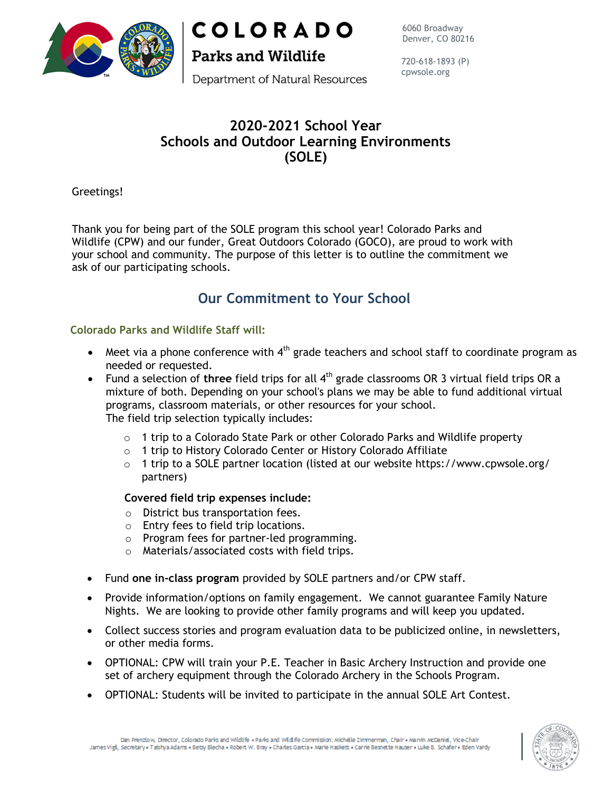

**COLORADO** 

**Parks and Wildlife** 

6060 Broadway Denver, CO 80216

Department of Natural Resources

720-618-1893 (P) cpwsole.org

## **2020-2021 School Year Schools and Outdoor Learning Environments (SOLE)**

Greetings!

Thank you for being part of the SOLE program this school year! Colorado Parks and Wildlife (CPW) and our funder, Great Outdoors Colorado (GOCO), are proud to work with your school and community. The purpose of this letter is to outline the commitment we ask of our participating schools.

# **Our Commitment to Your School**

### **Colorado Parks and Wildlife Staff will:**

- $\bullet$  Meet via a phone conference with  $4^{\text{th}}$  grade teachers and school staff to coordinate program as needed or requested.
- Fund a selection of three field trips for all 4<sup>th</sup> grade classrooms OR 3 virtual field trips OR a mixture of both. Depending on your school's plans we may be able to fund additional virtual programs, classroom materials, or other resources for your school. The field trip selection typically includes:
	- $\circ$  1 trip to a Colorado State Park or other Colorado Parks and Wildlife property
	- o 1 trip to History Colorado Center or History Colorado Affiliate
	- $\circ$  1 trip to a SOLE partner location (listed at our website https://www.cpwsole.org/ partners)

#### **Covered field trip expenses include:**

- o District bus transportation fees.
- o Entry fees to field trip locations.
- o Program fees for partner-led programming.
- o Materials/associated costs with field trips.
- Fund **one in-class program** provided by SOLE partners and/or CPW staff.
- Provide information/options on family engagement. We cannot guarantee Family Nature Nights. We are looking to provide other family programs and will keep you updated.
- Collect success stories and program evaluation data to be publicized online, in newsletters, or other media forms.
- OPTIONAL: CPW will train your P.E. Teacher in Basic Archery Instruction and provide one set of archery equipment through the Colorado Archery in the Schools Program.
- OPTIONAL: Students will be invited to participate in the annual SOLE Art Contest.